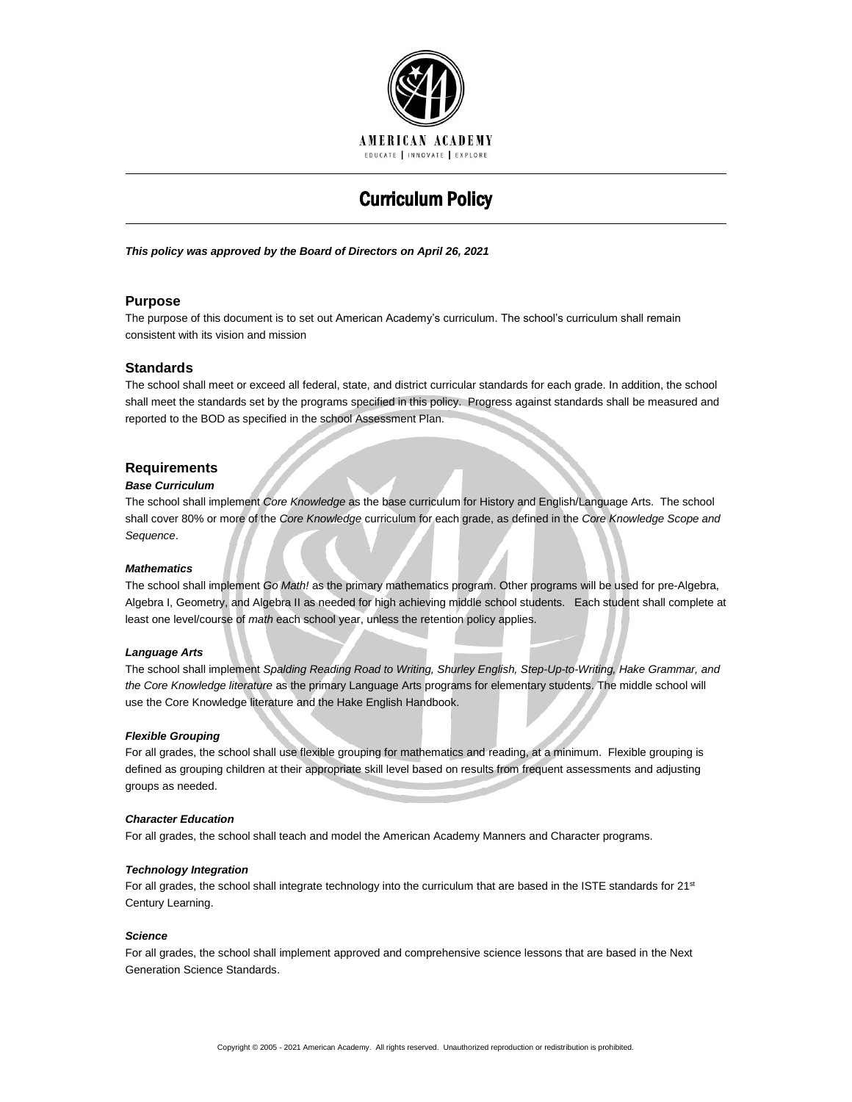

# Curriculum Policy

## *This policy was approved by the Board of Directors on April 26, 2021*

# **Purpose**

The purpose of this document is to set out American Academy's curriculum. The school's curriculum shall remain consistent with its vision and mission

# **Standards**

The school shall meet or exceed all federal, state, and district curricular standards for each grade. In addition, the school shall meet the standards set by the programs specified in this policy. Progress against standards shall be measured and reported to the BOD as specified in the school Assessment Plan.

# **Requirements**

## *Base Curriculum*

The school shall implement *Core Knowledge* as the base curriculum for History and English/Language Arts. The school shall cover 80% or more of the *Core Knowledge* curriculum for each grade, as defined in the *Core Knowledge Scope and Sequence*.

## *Mathematics*

The school shall implement *Go Math!* as the primary mathematics program. Other programs will be used for pre-Algebra, Algebra I, Geometry, and Algebra II as needed for high achieving middle school students. Each student shall complete at least one level/course of *math* each school year, unless the retention policy applies.

## *Language Arts*

The school shall implement *Spalding Reading Road to Writing, Shurley English, Step-Up-to-Writing, Hake Grammar, and the Core Knowledge literature* as the primary Language Arts programs for elementary students. The middle school will use the Core Knowledge literature and the Hake English Handbook.

## *Flexible Grouping*

For all grades, the school shall use flexible grouping for mathematics and reading, at a minimum. Flexible grouping is defined as grouping children at their appropriate skill level based on results from frequent assessments and adjusting groups as needed.

## *Character Education*

For all grades, the school shall teach and model the American Academy Manners and Character programs.

## *Technology Integration*

For all grades, the school shall integrate technology into the curriculum that are based in the ISTE standards for 21<sup>st</sup> Century Learning.

## *Science*

For all grades, the school shall implement approved and comprehensive science lessons that are based in the Next Generation Science Standards.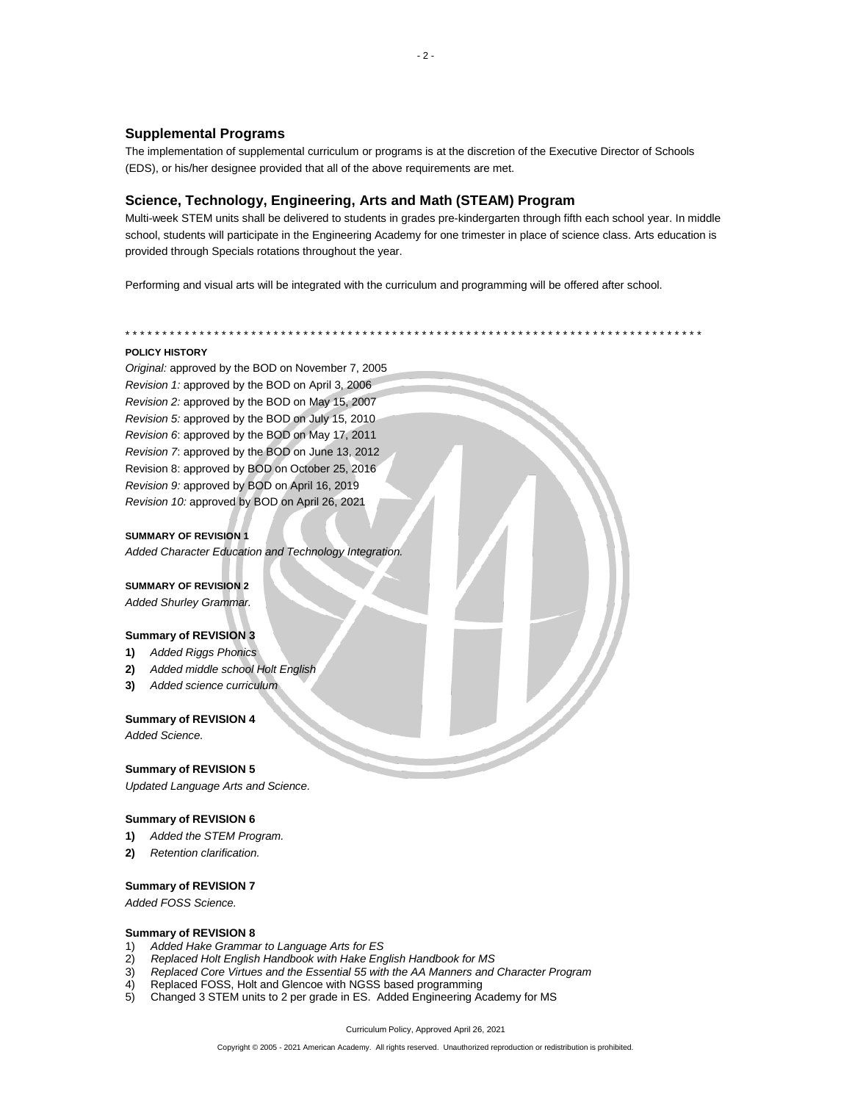# **Supplemental Programs**

The implementation of supplemental curriculum or programs is at the discretion of the Executive Director of Schools (EDS), or his/her designee provided that all of the above requirements are met.

# **Science, Technology, Engineering, Arts and Math (STEAM) Program**

Multi-week STEM units shall be delivered to students in grades pre-kindergarten through fifth each school year. In middle school, students will participate in the Engineering Academy for one trimester in place of science class. Arts education is provided through Specials rotations throughout the year.

\* \* \* \* \* \* \* \* \* \* \* \* \* \* \* \* \* \* \* \* \* \* \* \* \* \* \* \* \* \* \* \* \* \* \* \* \* \* \* \* \* \* \* \* \* \* \* \* \* \* \* \* \* \* \* \* \* \* \* \* \* \* \* \* \* \* \* \* \* \* \* \* \* \* \* \* \* \*

Performing and visual arts will be integrated with the curriculum and programming will be offered after school.

## **POLICY HISTORY**

*Original:* approved by the BOD on November 7, 2005 *Revision 1:* approved by the BOD on April 3, 2006 *Revision 2:* approved by the BOD on May 15, 2007 *Revision 5:* approved by the BOD on July 15, 2010 *Revision 6*: approved by the BOD on May 17, 2011 *Revision 7*: approved by the BOD on June 13, 2012 Revision 8: approved by BOD on October 25, 2016 *Revision 9:* approved by BOD on April 16, 2019 *Revision 10:* approved by BOD on April 26, 2021

#### **SUMMARY OF REVISION 1**

*Added Character Education and Technology Integration.*

#### **SUMMARY OF REVISION 2**

*Added Shurley Grammar.*

## **Summary of REVISION 3**

- **1)** *Added Riggs Phonics*
- **2)** *Added middle school Holt English*
- **3)** *Added science curriculum*

## **Summary of REVISION 4**

*Added Science.*

## **Summary of REVISION 5**

*Updated Language Arts and Science.*

# **Summary of REVISION 6**

- **1)** *Added the STEM Program.*
- **2)** *Retention clarification.*

## **Summary of REVISION 7**

*Added FOSS Science.*

#### **Summary of REVISION 8**

- 1) *Added Hake Grammar to Language Arts for ES*
- 2) *Replaced Holt English Handbook with Hake English Handbook for MS*
- 3) *Replaced Core Virtues and the Essential 55 with the AA Manners and Character Program*
- 4) Replaced FOSS, Holt and Glencoe with NGSS based programming
- 5) Changed 3 STEM units to 2 per grade in ES. Added Engineering Academy for MS

Curriculum Policy, Approved April 26, 2021